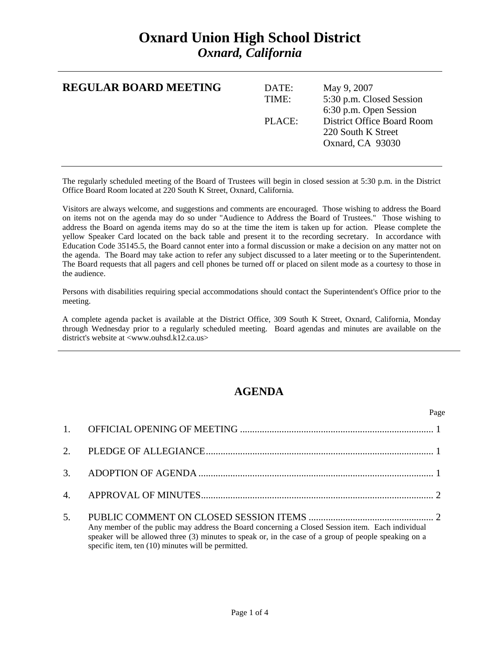## **Oxnard Union High School District**  *Oxnard, California*

| <b>REGULAR BOARD MEETING</b> | DATE:<br>TIME: | May 9, 2007<br>5:30 p.m. Closed Session<br>6:30 p.m. Open Session           |
|------------------------------|----------------|-----------------------------------------------------------------------------|
|                              | PLACE:         | <b>District Office Board Room</b><br>220 South K Street<br>Oxnard, CA 93030 |

The regularly scheduled meeting of the Board of Trustees will begin in closed session at 5:30 p.m. in the District Office Board Room located at 220 South K Street, Oxnard, California.

Visitors are always welcome, and suggestions and comments are encouraged. Those wishing to address the Board on items not on the agenda may do so under "Audience to Address the Board of Trustees." Those wishing to address the Board on agenda items may do so at the time the item is taken up for action. Please complete the yellow Speaker Card located on the back table and present it to the recording secretary. In accordance with Education Code 35145.5, the Board cannot enter into a formal discussion or make a decision on any matter not on the agenda. The Board may take action to refer any subject discussed to a later meeting or to the Superintendent. The Board requests that all pagers and cell phones be turned off or placed on silent mode as a courtesy to those in the audience.

Persons with disabilities requiring special accommodations should contact the Superintendent's Office prior to the meeting.

A complete agenda packet is available at the District Office, 309 South K Street, Oxnard, California, Monday through Wednesday prior to a regularly scheduled meeting. Board agendas and minutes are available on the district's website at <www.ouhsd.k12.ca.us>

## **AGENDA**

|     |                                                                                                                                                                                                                                                                 | Page |
|-----|-----------------------------------------------------------------------------------------------------------------------------------------------------------------------------------------------------------------------------------------------------------------|------|
|     |                                                                                                                                                                                                                                                                 |      |
|     |                                                                                                                                                                                                                                                                 |      |
|     |                                                                                                                                                                                                                                                                 |      |
|     |                                                                                                                                                                                                                                                                 |      |
| .5. | Any member of the public may address the Board concerning a Closed Session item. Each individual<br>speaker will be allowed three (3) minutes to speak or, in the case of a group of people speaking on a<br>specific item, ten (10) minutes will be permitted. |      |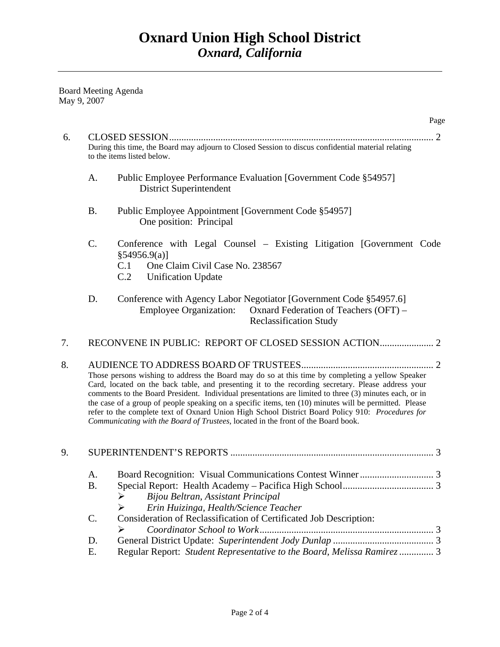Board Meeting Agenda May 9, 2007

|    |                 | Page                                                                                                                                                                                                                                                                                                                                                                                                                                                                                                                                                                                                                |
|----|-----------------|---------------------------------------------------------------------------------------------------------------------------------------------------------------------------------------------------------------------------------------------------------------------------------------------------------------------------------------------------------------------------------------------------------------------------------------------------------------------------------------------------------------------------------------------------------------------------------------------------------------------|
| 6. |                 | During this time, the Board may adjourn to Closed Session to discus confidential material relating<br>to the items listed below.                                                                                                                                                                                                                                                                                                                                                                                                                                                                                    |
|    | A.              | Public Employee Performance Evaluation [Government Code §54957]<br><b>District Superintendent</b>                                                                                                                                                                                                                                                                                                                                                                                                                                                                                                                   |
|    | <b>B.</b>       | Public Employee Appointment [Government Code §54957]<br>One position: Principal                                                                                                                                                                                                                                                                                                                                                                                                                                                                                                                                     |
|    | C.              | Conference with Legal Counsel - Existing Litigation [Government Code<br>$§54956.9(a)$ ]<br>C.1<br>One Claim Civil Case No. 238567<br>C.2<br><b>Unification Update</b>                                                                                                                                                                                                                                                                                                                                                                                                                                               |
|    | D.              | Conference with Agency Labor Negotiator [Government Code §54957.6]<br><b>Employee Organization:</b><br>Oxnard Federation of Teachers (OFT) –<br><b>Reclassification Study</b>                                                                                                                                                                                                                                                                                                                                                                                                                                       |
| 7. |                 |                                                                                                                                                                                                                                                                                                                                                                                                                                                                                                                                                                                                                     |
| 8. |                 | Those persons wishing to address the Board may do so at this time by completing a yellow Speaker<br>Card, located on the back table, and presenting it to the recording secretary. Please address your<br>comments to the Board President. Individual presentations are limited to three (3) minutes each, or in<br>the case of a group of people speaking on a specific items, ten (10) minutes will be permitted. Please<br>refer to the complete text of Oxnard Union High School District Board Policy 910: Procedures for<br>Communicating with the Board of Trustees, located in the front of the Board book. |
| 9. |                 |                                                                                                                                                                                                                                                                                                                                                                                                                                                                                                                                                                                                                     |
|    | A.<br><b>B.</b> | Bijou Beltran, Assistant Principal<br>➤<br>Erin Huizinga, Health/Science Teacher<br>➤                                                                                                                                                                                                                                                                                                                                                                                                                                                                                                                               |
|    | C.              | Consideration of Reclassification of Certificated Job Description:<br>➤                                                                                                                                                                                                                                                                                                                                                                                                                                                                                                                                             |
|    | D.<br>Ε.        | Regular Report: Student Representative to the Board, Melissa Ramirez  3                                                                                                                                                                                                                                                                                                                                                                                                                                                                                                                                             |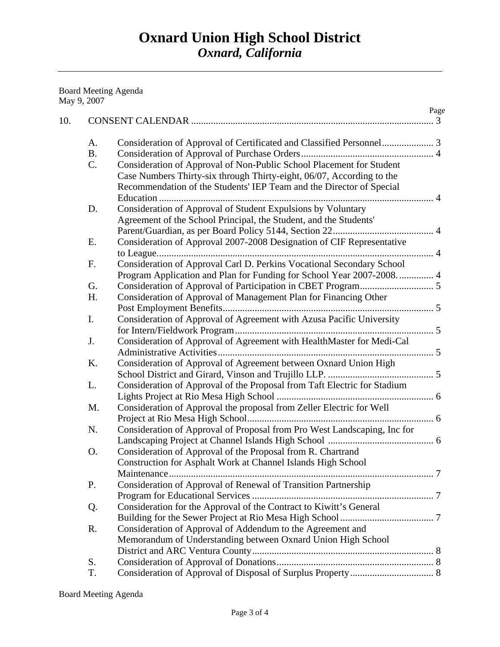## Board Meeting Agenda May 9, 2007

| 10.       |                                                                          | Page |
|-----------|--------------------------------------------------------------------------|------|
| A.        |                                                                          |      |
| <b>B.</b> |                                                                          |      |
| C.        | Consideration of Approval of Non-Public School Placement for Student     |      |
|           | Case Numbers Thirty-six through Thirty-eight, 06/07, According to the    |      |
|           | Recommendation of the Students' IEP Team and the Director of Special     |      |
|           |                                                                          |      |
| D.        | Consideration of Approval of Student Expulsions by Voluntary             |      |
|           | Agreement of the School Principal, the Student, and the Students'        |      |
|           |                                                                          |      |
| E.        | Consideration of Approval 2007-2008 Designation of CIF Representative    |      |
|           |                                                                          |      |
| F.        | Consideration of Approval Carl D. Perkins Vocational Secondary School    |      |
|           | Program Application and Plan for Funding for School Year 2007-2008.  4   |      |
| G.        |                                                                          |      |
| Η.        | Consideration of Approval of Management Plan for Financing Other         |      |
|           |                                                                          |      |
| I.        | Consideration of Approval of Agreement with Azusa Pacific University     |      |
|           |                                                                          |      |
| J.        | Consideration of Approval of Agreement with HealthMaster for Medi-Cal    |      |
|           |                                                                          |      |
| Κ.        | Consideration of Approval of Agreement between Oxnard Union High         |      |
|           |                                                                          |      |
| L.        | Consideration of Approval of the Proposal from Taft Electric for Stadium |      |
|           |                                                                          |      |
| M.        | Consideration of Approval the proposal from Zeller Electric for Well     |      |
|           |                                                                          |      |
| N.        | Consideration of Approval of Proposal from Pro West Landscaping, Inc for |      |
|           |                                                                          |      |
| O.        | Consideration of Approval of the Proposal from R. Chartrand              |      |
|           | Construction for Asphalt Work at Channel Islands High School             |      |
|           | Maintenance                                                              |      |
| P.        | Consideration of Approval of Renewal of Transition Partnership           |      |
|           |                                                                          |      |
| Q.        | Consideration for the Approval of the Contract to Kiwitt's General       |      |
|           |                                                                          |      |
| R.        | Consideration of Approval of Addendum to the Agreement and               |      |
|           | Memorandum of Understanding between Oxnard Union High School             |      |
|           |                                                                          |      |
| S.        |                                                                          |      |
| T.        |                                                                          |      |